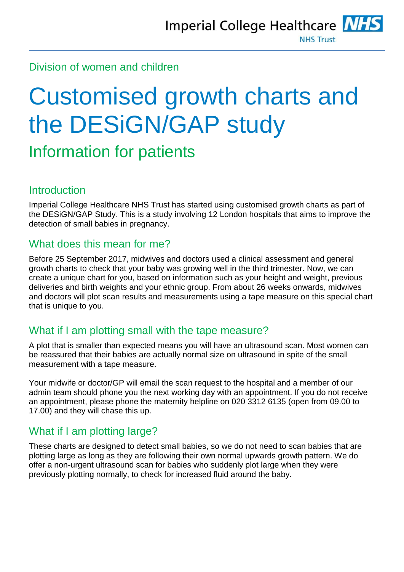# Division of women and children

# Customised growth charts and the DESiGN/GAP study

# Information for patients

# **Introduction**

Imperial College Healthcare NHS Trust has started using customised growth charts as part of the DESiGN/GAP Study. This is a study involving 12 London hospitals that aims to improve the detection of small babies in pregnancy.

# What does this mean for me?

Before 25 September 2017, midwives and doctors used a clinical assessment and general growth charts to check that your baby was growing well in the third trimester. Now, we can create a unique chart for you, based on information such as your height and weight, previous deliveries and birth weights and your ethnic group. From about 26 weeks onwards, midwives and doctors will plot scan results and measurements using a tape measure on this special chart that is unique to you.

# What if I am plotting small with the tape measure?

A plot that is smaller than expected means you will have an ultrasound scan. Most women can be reassured that their babies are actually normal size on ultrasound in spite of the small measurement with a tape measure.

Your midwife or doctor/GP will email the scan request to the hospital and a member of our admin team should phone you the next working day with an appointment. If you do not receive an appointment, please phone the maternity helpline on 020 3312 6135 (open from 09.00 to 17.00) and they will chase this up.

# What if I am plotting large?

These charts are designed to detect small babies, so we do not need to scan babies that are plotting large as long as they are following their own normal upwards growth pattern. We do offer a non-urgent ultrasound scan for babies who suddenly plot large when they were previously plotting normally, to check for increased fluid around the baby.